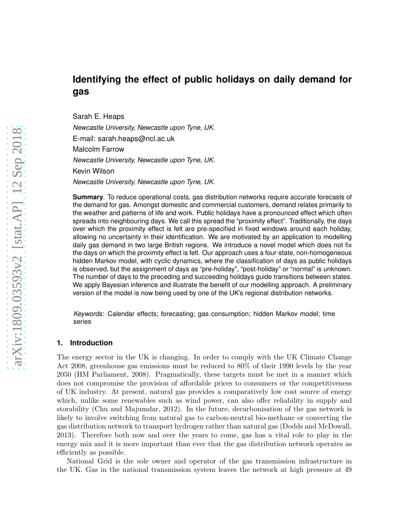# **Identifying the effect of public holidays on daily demand for gas**

Sarah E. Heaps

*Newcastle University, Newcastle upon Tyne, UK.*

E-mail: sarah.heaps@ncl.ac.uk

Malcolm Farrow

*Newcastle University, Newcastle upon Tyne, UK.*

Kevin Wilson

*Newcastle University, Newcastle upon Tyne, UK.*

**Summary**. To reduce operational costs, gas distribution networks require accurate forecasts of the demand for gas. Amongst domestic and commercial customers, demand relates primarily to the weather and patterns of life and work. Public holidays have a pronounced effect which often spreads into neighbouring days. We call this spread the "proximity effect". Traditionally, the days over which the proximity effect is felt are pre-specified in fixed windows around each holiday, allowing no uncertainty in their identification. We are motivated by an application to modelling daily gas demand in two large British regions. We introduce a novel model which does not fix the days on which the proximity effect is felt. Our approach uses a four-state, non-homogeneous hidden Markov model, with cyclic dynamics, where the classification of days as public holidays is observed, but the assignment of days as "pre-holiday", "post-holiday" or "normal" is unknown. The number of days to the preceding and succeeding holidays guide transitions between states. We apply Bayesian inference and illustrate the benefit of our modelling approach. A preliminary version of the model is now being used by one of the UK's regional distribution networks.

*Keywords*: Calendar effects; forecasting; gas consumption; hidden Markov model; time series

## **1. Introduction**

The energy sector in the UK is changing. In order to comply with the UK Climate Change Act 2008, greenhouse gas emissions must be reduced to 80% of their 1990 levels by the year 2050 (HM Parliament, 2008). Pragmatically, these targets must be met in a manner which does not compromise the provision of affordable prices to consumers or the competitiveness of UK industry. At present, natural gas provides a comparatively low cost source of energy which, unlike some renewables such as wind power, can also offer reliability in supply and storability (Chu and Majumdar, 2012). In the future, decarbonisation of the gas network is likely to involve switching from natural gas to carbon-neutral bio-methane or converting the gas distribution network to transport hydrogen rather than natural gas (Dodds and McDowall, 2013). Therefore both now and over the years to come, gas has a vital role to play in the energy mix and it is more important than ever that the gas distribution network operates as efficiently as possible.

National Grid is the sole owner and operator of the gas transmission infrastructure in the UK. Gas in the national transmission system leaves the network at high pressure at 49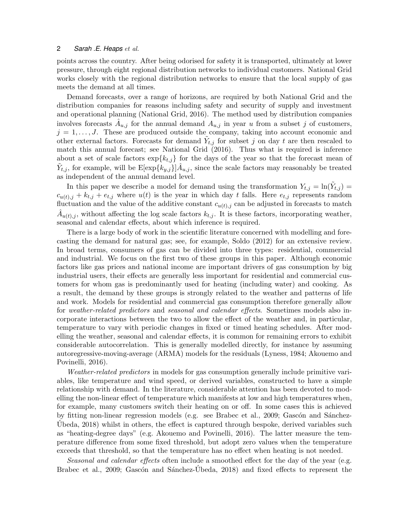points across the country. After being odorised for safety it is transported, ultimately at lower pressure, through eight regional distribution networks to individual customers. National Grid works closely with the regional distribution networks to ensure that the local supply of gas meets the demand at all times.

Demand forecasts, over a range of horizons, are required by both National Grid and the distribution companies for reasons including safety and security of supply and investment and operational planning (National Grid, 2016). The method used by distribution companies involves forecasts  $\hat{A}_{u,j}$  for the annual demand  $A_{u,j}$  in year u from a subset j of customers,  $j = 1, \ldots, J$ . These are produced outside the company, taking into account economic and other external factors. Forecasts for demand  $\tilde{Y}_{t,j}$  for subset j on day t are then rescaled to match this annual forecast; see National Grid (2016). Thus what is required is inference about a set of scale factors  $\exp{k_{t,i}}$  for the days of the year so that the forecast mean of  $\tilde{Y}_{t,j}$ , for example, will be  $\mathbb{E}[\exp\{k_{y,j}\}]\hat{A}_{u,j}$ , since the scale factors may reasonably be treated as independent of the annual demand level.

In this paper we describe a model for demand using the transformation  $Y_{t,j} = \ln(\tilde{Y}_{t,j}) =$  $c_{u(t),j} + k_{t,j} + e_{t,j}$  where  $u(t)$  is the year in which day t falls. Here  $e_{t,j}$  represents random fluctuation and the value of the additive constant  $c_{u(t),j}$  can be adjusted in forecasts to match  $\hat{A}_{u(t),j}$ , without affecting the log scale factors  $k_{t,j}$ . It is these factors, incorporating weather, seasonal and calendar effects, about which inference is required.

There is a large body of work in the scientific literature concerned with modelling and forecasting the demand for natural gas; see, for example, Soldo (2012) for an extensive review. In broad terms, consumers of gas can be divided into three types: residential, commercial and industrial. We focus on the first two of these groups in this paper. Although economic factors like gas prices and national income are important drivers of gas consumption by big industrial users, their effects are generally less important for residential and commercial customers for whom gas is predominantly used for heating (including water) and cooking. As a result, the demand by these groups is strongly related to the weather and patterns of life and work. Models for residential and commercial gas consumption therefore generally allow for weather-related predictors and seasonal and calendar effects. Sometimes models also incorporate interactions between the two to allow the effect of the weather and, in particular, temperature to vary with periodic changes in fixed or timed heating schedules. After modelling the weather, seasonal and calendar effects, it is common for remaining errors to exhibit considerable autocorrelation. This is generally modelled directly, for instance by assuming autoregressive-moving-average (ARMA) models for the residuals (Lyness, 1984; Akouemo and Povinelli, 2016).

Weather-related predictors in models for gas consumption generally include primitive variables, like temperature and wind speed, or derived variables, constructed to have a simple relationship with demand. In the literature, considerable attention has been devoted to modelling the non-linear effect of temperature which manifests at low and high temperatures when, for example, many customers switch their heating on or off. In some cases this is achieved by fitting non-linear regression models (e.g. see Brabec et al., 2009; Gascón and Sánchez-Ubeda,  $2018$ ) whilst in others, the effect is captured through bespoke, derived variables such as "heating-degree days" (e.g. Akouemo and Povinelli, 2016). The latter measure the temperature difference from some fixed threshold, but adopt zero values when the temperature exceeds that threshold, so that the temperature has no effect when heating is not needed.

Seasonal and calendar effects often include a smoothed effect for the day of the year (e.g. Brabec et al., 2009; Gascón and Sánchez-Úbeda, 2018) and fixed effects to represent the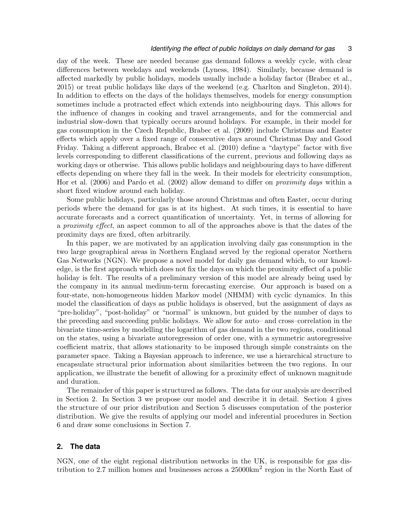## *Identifying the effect of public holidays on daily demand for gas* 3

day of the week. These are needed because gas demand follows a weekly cycle, with clear differences between weekdays and weekends (Lyness, 1984). Similarly, because demand is affected markedly by public holidays, models usually include a holiday factor (Brabec et al., 2015) or treat public holidays like days of the weekend (e.g. Charlton and Singleton, 2014). In addition to effects on the days of the holidays themselves, models for energy consumption sometimes include a protracted effect which extends into neighbouring days. This allows for the influence of changes in cooking and travel arrangements, and for the commercial and industrial slow-down that typically occurs around holidays. For example, in their model for gas consumption in the Czech Republic, Brabec et al. (2009) include Christmas and Easter effects which apply over a fixed range of consecutive days around Christmas Day and Good Friday. Taking a different approach, Brabec et al. (2010) define a "daytype" factor with five levels corresponding to different classifications of the current, previous and following days as working days or otherwise. This allows public holidays and neighbouring days to have different effects depending on where they fall in the week. In their models for electricity consumption, Hor et al. (2006) and Pardo et al. (2002) allow demand to differ on proximity days within a short fixed window around each holiday.

Some public holidays, particularly those around Christmas and often Easter, occur during periods where the demand for gas is at its highest. At such times, it is essential to have accurate forecasts and a correct quantification of uncertainty. Yet, in terms of allowing for a proximity effect, an aspect common to all of the approaches above is that the dates of the proximity days are fixed, often arbitrarily.

In this paper, we are motivated by an application involving daily gas consumption in the two large geographical areas in Northern England served by the regional operator Northern Gas Networks (NGN). We propose a novel model for daily gas demand which, to our knowledge, is the first approach which does not fix the days on which the proximity effect of a public holiday is felt. The results of a preliminary version of this model are already being used by the company in its annual medium-term forecasting exercise. Our approach is based on a four-state, non-homogeneous hidden Markov model (NHMM) with cyclic dynamics. In this model the classification of days as public holidays is observed, but the assignment of days as "pre-holiday", "post-holiday" or "normal" is unknown, but guided by the number of days to the preceding and succeeding public holidays. We allow for auto– and cross–correlation in the bivariate time-series by modelling the logarithm of gas demand in the two regions, conditional on the states, using a bivariate autoregression of order one, with a symmetric autoregressive coefficient matrix, that allows stationarity to be imposed through simple constraints on the parameter space. Taking a Bayesian approach to inference, we use a hierarchical structure to encapsulate structural prior information about similarities between the two regions. In our application, we illustrate the benefit of allowing for a proximity effect of unknown magnitude and duration.

The remainder of this paper is structured as follows. The data for our analysis are described in Section 2. In Section 3 we propose our model and describe it in detail. Section 4 gives the structure of our prior distribution and Section 5 discusses computation of the posterior distribution. We give the results of applying our model and inferential procedures in Section 6 and draw some conclusions in Section 7.

## **2. The data**

NGN, one of the eight regional distribution networks in the UK, is responsible for gas distribution to 2.7 million homes and businesses across a  $25000 \text{km}^2$  region in the North East of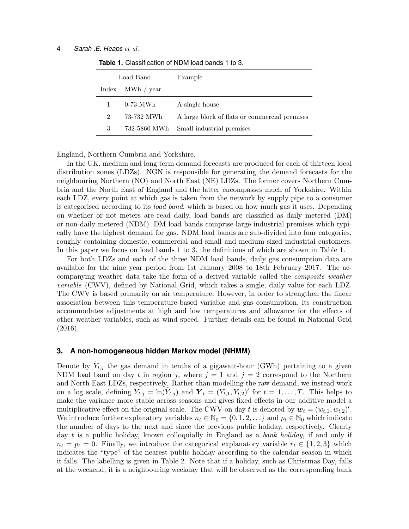| Load Band                   |                  | Example                                       |
|-----------------------------|------------------|-----------------------------------------------|
|                             | Index MWh / year |                                               |
|                             | 0-73 MWh         | A single house                                |
| $\mathcal{D}_{\mathcal{L}}$ | 73-732 MWh       | A large block of flats or commercial premises |
| 3                           | 732-5860 MWh     | Small industrial premises                     |

**Table 1.** Classification of NDM load bands 1 to 3.

England, Northern Cumbria and Yorkshire.

In the UK, medium and long term demand forecasts are produced for each of thirteen local distribution zones (LDZs). NGN is responsible for generating the demand forecasts for the neighbouring Northern (NO) and North East (NE) LDZs. The former covers Northern Cumbria and the North East of England and the latter encompasses much of Yorkshire. Within each LDZ, every point at which gas is taken from the network by supply pipe to a consumer is categorised according to its *load band*, which is based on how much gas it uses. Depending on whether or not meters are read daily, load bands are classified as daily metered (DM) or non-daily metered (NDM). DM load bands comprise large industrial premises which typically have the highest demand for gas. NDM load bands are sub-divided into four categories, roughly containing domestic, commercial and small and medium sized industrial customers. In this paper we focus on load bands 1 to 3, the definitions of which are shown in Table 1.

For both LDZs and each of the three NDM load bands, daily gas consumption data are available for the nine year period from 1st January 2008 to 18th February 2017. The accompanying weather data take the form of a derived variable called the composite weather variable (CWV), defined by National Grid, which takes a single, daily value for each LDZ. The CWV is based primarily on air temperature. However, in order to strengthen the linear association between this temperature-based variable and gas consumption, its construction accommodates adjustments at high and low temperatures and allowance for the effects of other weather variables, such as wind speed. Further details can be found in National Grid (2016).

## **3. A non-homogeneous hidden Markov model (NHMM)**

Denote by  $\tilde{Y}_{t,j}$  the gas demand in tenths of a gigawatt-hour (GWh) pertaining to a given NDM load band on day t in region j, where  $j = 1$  and  $j = 2$  correspond to the Northern and North East LDZs, respectively. Rather than modelling the raw demand, we instead work on a log scale, defining  $Y_{t,j} = \ln(Y_{t,j})$  and  $\boldsymbol{Y}_t = (Y_{t,1}, Y_{t,2})'$  for  $t = 1, \ldots, T$ . This helps to make the variance more stable across seasons and gives fixed effects in our additive model a multiplicative effect on the original scale. The CWV on day t is denoted by  $w_t = (w_{t,1}, w_{t,2})'$ . We introduce further explanatory variables  $n_t \in \mathbb{N}_0 = \{0, 1, 2, \ldots\}$  and  $p_t \in \mathbb{N}_0$  which indicate the number of days to the next and since the previous public holiday, respectively. Clearly day  $t$  is a public holiday, known colloquially in England as a bank holiday, if and only if  $n_t = p_t = 0$ . Finally, we introduce the categorical explanatory variable  $r_t \in \{1, 2, 3\}$  which indicates the "type" of the nearest public holiday according to the calendar season in which it falls. The labelling is given in Table 2. Note that if a holiday, such as Christmas Day, falls at the weekend, it is a neighbouring weekday that will be observed as the corresponding bank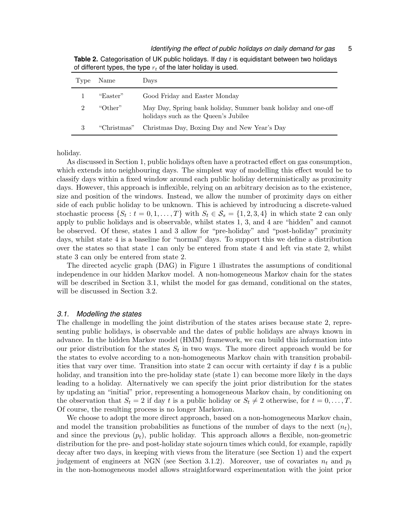| 'Type                       | Name        | Days                                                                                                  |
|-----------------------------|-------------|-------------------------------------------------------------------------------------------------------|
|                             | "Easter"    | Good Friday and Easter Monday                                                                         |
| $\mathcal{D}_{\mathcal{L}}$ | "Other"     | May Day, Spring bank holiday, Summer bank holiday and one-off<br>holidays such as the Queen's Jubilee |
| 3                           | "Christmas" | Christmas Day, Boxing Day and New Year's Day                                                          |

**Table 2.** Categorisation of UK public holidays. If day t is equidistant between two holidays of different types, the type  $r_t$  of the later holiday is used.

holiday.

As discussed in Section 1, public holidays often have a protracted effect on gas consumption, which extends into neighbouring days. The simplest way of modelling this effect would be to classify days within a fixed window around each public holiday deterministically as proximity days. However, this approach is inflexible, relying on an arbitrary decision as to the existence, size and position of the windows. Instead, we allow the number of proximity days on either side of each public holiday to be unknown. This is achieved by introducing a discrete-valued stochastic process  $\{S_t : t = 0, 1, ..., T\}$  with  $S_t \in \mathcal{S}_s = \{1, 2, 3, 4\}$  in which state 2 can only apply to public holidays and is observable, whilst states 1, 3, and 4 are "hidden" and cannot be observed. Of these, states 1 and 3 allow for "pre-holiday" and "post-holiday" proximity days, whilst state 4 is a baseline for "normal" days. To support this we define a distribution over the states so that state 1 can only be entered from state 4 and left via state 2, whilst state 3 can only be entered from state 2.

The directed acyclic graph (DAG) in Figure 1 illustrates the assumptions of conditional independence in our hidden Markov model. A non-homogeneous Markov chain for the states will be described in Section 3.1, whilst the model for gas demand, conditional on the states, will be discussed in Section 3.2.

## *3.1. Modelling the states*

The challenge in modelling the joint distribution of the states arises because state 2, representing public holidays, is observable and the dates of public holidays are always known in advance. In the hidden Markov model (HMM) framework, we can build this information into our prior distribution for the states  $S_t$  in two ways. The more direct approach would be for the states to evolve according to a non-homogeneous Markov chain with transition probabilities that vary over time. Transition into state 2 can occur with certainty if day  $t$  is a public holiday, and transition into the pre-holiday state (state 1) can become more likely in the days leading to a holiday. Alternatively we can specify the joint prior distribution for the states by updating an "initial" prior, representing a homogeneous Markov chain, by conditioning on the observation that  $S_t = 2$  if day t is a public holiday or  $S_t \neq 2$  otherwise, for  $t = 0, \ldots, T$ . Of course, the resulting process is no longer Markovian.

We choose to adopt the more direct approach, based on a non-homogeneous Markov chain, and model the transition probabilities as functions of the number of days to the next  $(n_t)$ , and since the previous  $(p_t)$ , public holiday. This approach allows a flexible, non-geometric distribution for the pre- and post-holiday state sojourn times which could, for example, rapidly decay after two days, in keeping with views from the literature (see Section 1) and the expert judgement of engineers at NGN (see Section 3.1.2). Moreover, use of covariates  $n_t$  and  $p_t$ in the non-homogeneous model allows straightforward experimentation with the joint prior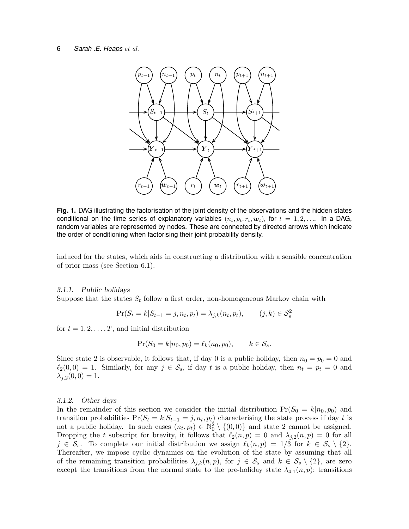

**Fig. 1.** DAG illustrating the factorisation of the joint density of the observations and the hidden states conditional on the time series of explanatory variables  $(n_t, p_t, r_t, w_t)$ , for  $t = 1, 2, \ldots$  In a DAG, random variables are represented by nodes. These are connected by directed arrows which indicate the order of conditioning when factorising their joint probability density.

induced for the states, which aids in constructing a distribution with a sensible concentration of prior mass (see Section 6.1).

#### 3.1.1. Public holidays

Suppose that the states  $S_t$  follow a first order, non-homogeneous Markov chain with

$$
\Pr(S_t = k | S_{t-1} = j, n_t, p_t) = \lambda_{j,k}(n_t, p_t), \qquad (j, k) \in \mathcal{S}_s^2
$$

for  $t = 1, 2, \ldots, T$ , and initial distribution

$$
Pr(S_0 = k | n_0, p_0) = \ell_k(n_0, p_0), \qquad k \in S_s.
$$

Since state 2 is observable, it follows that, if day 0 is a public holiday, then  $n_0 = p_0 = 0$  and  $\ell_2(0,0) = 1$ . Similarly, for any  $j \in \mathcal{S}_s$ , if day t is a public holiday, then  $n_t = p_t = 0$  and  $\lambda_{i,2}(0,0) = 1.$ 

#### 3.1.2. Other days

In the remainder of this section we consider the initial distribution  $Pr(S_0 = k | n_0, p_0)$  and transition probabilities  $Pr(S_t = k | S_{t-1} = j, n_t, p_t)$  characterising the state process if day t is not a public holiday. In such cases  $(n_t, p_t) \in \mathbb{N}_0^2 \setminus \{(0, 0)\}\$  and state 2 cannot be assigned. Dropping the t subscript for brevity, it follows that  $\ell_2(n,p) = 0$  and  $\lambda_{j,2}(n,p) = 0$  for all  $j \in \mathcal{S}_s$ . To complete our initial distribution we assign  $\ell_k(n,p) = 1/3$  for  $k \in \mathcal{S}_s \setminus \{2\}$ . Thereafter, we impose cyclic dynamics on the evolution of the state by assuming that all of the remaining transition probabilities  $\lambda_{j,k}(n,p)$ , for  $j \in \mathcal{S}_s$  and  $k \in \mathcal{S}_s \setminus \{2\}$ , are zero except the transitions from the normal state to the pre-holiday state  $\lambda_{4,1}(n, p)$ ; transitions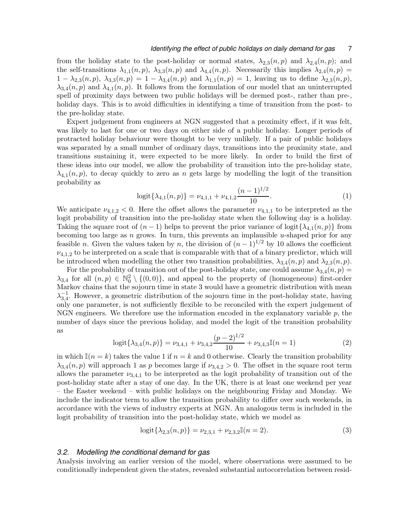## *Identifying the effect of public holidays on daily demand for gas* 7

from the holiday state to the post-holiday or normal states,  $\lambda_{2,3}(n, p)$  and  $\lambda_{2,4}(n, p)$ ; and the self-transitions  $\lambda_{1,1}(n, p)$ ,  $\lambda_{3,3}(n, p)$  and  $\lambda_{4,4}(n, p)$ . Necessarily this implies  $\lambda_{2,4}(n, p)$  =  $1 - \lambda_{2,3}(n, p), \lambda_{3,3}(n, p) = 1 - \lambda_{3,4}(n, p)$  and  $\lambda_{1,1}(n, p) = 1$ , leaving us to define  $\lambda_{2,3}(n, p)$ ,  $\lambda_{3,4}(n, p)$  and  $\lambda_{4,1}(n, p)$ . It follows from the formulation of our model that an uninterrupted spell of proximity days between two public holidays will be deemed post-, rather than pre-, holiday days. This is to avoid difficulties in identifying a time of transition from the postthe pre-holiday state.

Expert judgement from engineers at NGN suggested that a proximity effect, if it was felt, was likely to last for one or two days on either side of a public holiday. Longer periods of protracted holiday behaviour were thought to be very unlikely. If a pair of public holidays was separated by a small number of ordinary days, transitions into the proximity state, and transitions sustaining it, were expected to be more likely. In order to build the first of these ideas into our model, we allow the probability of transition into the pre-holiday state,  $\lambda_{4,1}(n, p)$ , to decay quickly to zero as n gets large by modelling the logit of the transition probability as

$$
logit{\{\lambda_{4,1}(n,p)\}} = \nu_{4,1,1} + \nu_{4,1,2} \frac{(n-1)^{1/2}}{10}.
$$
 (1)

We anticipate  $\nu_{4,1,2} < 0$ . Here the offset allows the parameter  $\nu_{4,1,1}$  to be interpreted as the logit probability of transition into the pre-holiday state when the following day is a holiday. Taking the square root of  $(n-1)$  helps to prevent the prior variance of logit $\{\lambda_{4,1}(n,p)\}\$  from becoming too large as  $n$  grows. In turn, this prevents an implausible u-shaped prior for any feasible n. Given the values taken by n, the division of  $(n-1)^{1/2}$  by 10 allows the coefficient  $\nu_{4,1,2}$  to be interpreted on a scale that is comparable with that of a binary predictor, which will be introduced when modelling the other two transition probabilities,  $\lambda_{3,4}(n, p)$  and  $\lambda_{2,3}(n, p)$ .

For the probability of transition out of the post-holiday state, one could assume  $\lambda_{3,4}(n, p)$  =  $\lambda_{3,4}$  for all  $(n, p) \in \mathbb{N}_0^2 \setminus \{(0, 0)\},$  and appeal to the property of (homogeneous) first-order Markov chains that the sojourn time in state 3 would have a geometric distribution with mean  $\lambda_{3,4}^{-1}$ . However, a geometric distribution of the sojourn time in the post-holiday state, having only one parameter, is not sufficiently flexible to be reconciled with the expert judgement of NGN engineers. We therefore use the information encoded in the explanatory variable  $p$ , the number of days since the previous holiday, and model the logit of the transition probability as

$$
logit{\{\lambda_{3,4}(n,p)\}} = \nu_{3,4,1} + \nu_{3,4,2} \frac{(p-2)^{1/2}}{10} + \nu_{3,4,3} \mathbb{I}(n=1)
$$
 (2)

in which  $\mathbb{I}(n = k)$  takes the value 1 if  $n = k$  and 0 otherwise. Clearly the transition probability  $\lambda_{3,4}(n, p)$  will approach 1 as p becomes large if  $\nu_{3,4,2} > 0$ . The offset in the square root term allows the parameter  $\nu_{3,4,1}$  to be interpreted as the logit probability of transition out of the post-holiday state after a stay of one day. In the UK, there is at least one weekend per year – the Easter weekend – with public holidays on the neighbouring Friday and Monday. We include the indicator term to allow the transition probability to differ over such weekends, in accordance with the views of industry experts at NGN. An analogous term is included in the logit probability of transition into the post-holiday state, which we model as

$$
logit{\{\lambda_{2,3}(n,p)\}} = \nu_{2,3,1} + \nu_{2,3,2}\mathbb{I}(n=2).
$$
 (3)

#### *3.2. Modelling the conditional demand for gas*

Analysis involving an earlier version of the model, where observations were assumed to be conditionally independent given the states, revealed substantial autocorrelation between resid-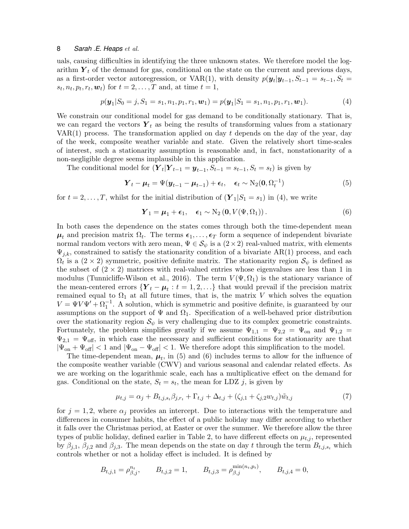uals, causing difficulties in identifying the three unknown states. We therefore model the logarithm  $\mathbf{Y}_t$  of the demand for gas, conditional on the state on the current and previous days, as a first-order vector autoregression, or VAR(1), with density  $p(\mathbf{y}_t|\mathbf{y}_{t-1}, S_{t-1} = s_{t-1}, S_t =$  $s_t, n_t, p_t, r_t, \mathbf{w}_t$  for  $t = 2, \ldots, T$  and, at time  $t = 1$ ,

$$
p(\mathbf{y}_1|S_0=j, S_1=s_1, n_1, p_1, r_1, \mathbf{w}_1)=p(\mathbf{y}_1|S_1=s_1, n_1, p_1, r_1, \mathbf{w}_1). \hspace{1cm} (4)
$$

We constrain our conditional model for gas demand to be conditionally stationary. That is, we can regard the vectors  $Y_t$  as being the results of transforming values from a stationary VAR(1) process. The transformation applied on day  $t$  depends on the day of the year, day of the week, composite weather variable and state. Given the relatively short time-scales of interest, such a stationarity assumption is reasonable and, in fact, nonstationarity of a non-negligible degree seems implausible in this application.

The conditional model for  $(\boldsymbol{Y}_t | \boldsymbol{Y}_{t-1} = \boldsymbol{y}_{t-1}, S_{t-1} = s_{t-1}, S_t = s_t)$  is given by

$$
\boldsymbol{Y}_t - \boldsymbol{\mu}_t = \boldsymbol{\Psi}(\boldsymbol{y}_{t-1} - \boldsymbol{\mu}_{t-1}) + \boldsymbol{\epsilon}_t, \quad \boldsymbol{\epsilon}_t \sim \mathrm{N}_2(\boldsymbol{0}, \boldsymbol{\Omega}_t^{-1})
$$
(5)

for  $t = 2, \ldots, T$ , whilst for the initial distribution of  $(Y_1|S_1 = s_1)$  in (4), we write

$$
\boldsymbol{Y}_1 = \boldsymbol{\mu}_1 + \boldsymbol{\epsilon}_1, \quad \boldsymbol{\epsilon}_1 \sim \mathrm{N}_2\left(\mathbf{0}, V(\boldsymbol{\Psi}, \boldsymbol{\Omega}_1)\right). \tag{6}
$$

In both cases the dependence on the states comes through both the time-dependent mean  $\mu_t$  and precision matrix  $\Omega_t$ . The terms  $\epsilon_1, \ldots, \epsilon_T$  form a sequence of independent bivariate normal random vectors with zero mean,  $\Psi \in \mathcal{S}_{\psi}$  is a  $(2 \times 2)$  real-valued matrix, with elements  $\Psi_{j,k}$ , constrained to satisfy the stationarity condition of a bivariate AR(1) process, and each  $\Omega_t$  is a  $(2 \times 2)$  symmetric, positive definite matrix. The stationarity region  $\mathcal{S}_{\psi}$  is defined as the subset of  $(2 \times 2)$  matrices with real-valued entries whose eigenvalues are less than 1 in modulus (Tunnicliffe-Wilson et al., 2016). The term  $V(\Psi,\Omega_1)$  is the stationary variance of the mean-centered errors  ${Y_t - \mu_t : t = 1, 2, ...}$  that would prevail if the precision matrix remained equal to  $\Omega_1$  at all future times, that is, the matrix V which solves the equation  $V = \Psi V \Psi' + \Omega_1^{-1}$ . A solution, which is symmetric and positive definite, is guaranteed by our assumptions on the support of  $\Psi$  and  $\Omega_1$ . Specification of a well-behaved prior distribution over the stationarity region  $\mathcal{S}_{\psi}$  is very challenging due to its complex geometric constraints. Fortunately, the problem simplifies greatly if we assume  $\Psi_{1,1} = \Psi_{2,2} = \Psi_{\text{on}}$  and  $\Psi_{1,2} =$  $\Psi_{2,1} = \Psi_{\text{off}}$ , in which case the necessary and sufficient conditions for stationarity are that  $|\Psi_{\text{on}} + \Psi_{\text{off}}| < 1$  and  $|\Psi_{\text{on}} - \Psi_{\text{off}}| < 1$ . We therefore adopt this simplification to the model.

The time-dependent mean,  $\mu_t$ , in (5) and (6) includes terms to allow for the influence of the composite weather variable (CWV) and various seasonal and calendar related effects. As we are working on the logarithmic scale, each has a multiplicative effect on the demand for gas. Conditional on the state,  $S_t = s_t$ , the mean for LDZ j, is given by

$$
\mu_{t,j} = \alpha_j + B_{t,j,s_t} \beta_{j,r_t} + \Gamma_{t,j} + \Delta_{t,j} + (\zeta_{j,1} + \zeta_{j,2} w_{t,j}) \tilde{w}_{t,j}
$$
(7)

for  $j = 1, 2$ , where  $\alpha_j$  provides an intercept. Due to interactions with the temperature and differences in consumer habits, the effect of a public holiday may differ according to whether it falls over the Christmas period, at Easter or over the summer. We therefore allow the three types of public holiday, defined earlier in Table 2, to have different effects on  $\mu_{t,j}$ , represented by  $\beta_{j,1}, \beta_{j,2}$  and  $\beta_{j,3}$ . The mean depends on the state on day t through the term  $B_{t,j,s_t}$  which controls whether or not a holiday effect is included. It is defined by

$$
B_{t,j,1} = \rho_{\beta,j}^{n_t}, \qquad B_{t,j,2} = 1, \qquad B_{t,j,3} = \rho_{\beta,j}^{\min(n_t, p_t)}, \qquad B_{t,j,4} = 0,
$$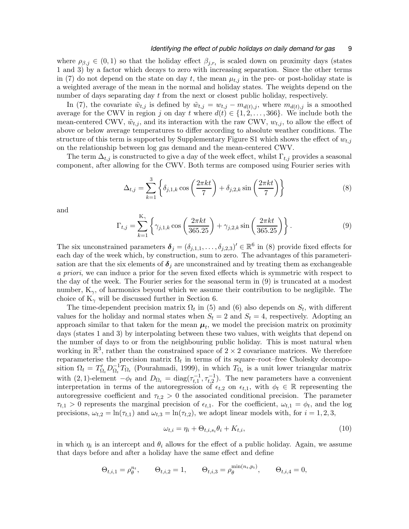where  $\rho_{\beta,j} \in (0,1)$  so that the holiday effect  $\beta_{j,r_t}$  is scaled down on proximity days (states 1 and 3) by a factor which decays to zero with increasing separation. Since the other terms in (7) do not depend on the state on day t, the mean  $\mu_{t,j}$  in the pre- or post-holiday state is a weighted average of the mean in the normal and holiday states. The weights depend on the number of days separating day t from the next or closest public holiday, respectively.

In (7), the covariate  $\tilde{w}_{t,j}$  is defined by  $\tilde{w}_{t,j} = w_{t,j} - m_{d(t),j}$ , where  $m_{d(t),j}$  is a smoothed average for the CWV in region j on day t where  $d(t) \in \{1, 2, ..., 366\}$ . We include both the mean-centered CWV,  $\tilde{w}_{t,i}$ , and its interaction with the raw CWV,  $w_{t,i}$ , to allow the effect of above or below average temperatures to differ according to absolute weather conditions. The structure of this term is supported by Supplementary Figure S1 which shows the effect of  $w_{t,j}$ on the relationship between log gas demand and the mean-centered CWV.

The term  $\Delta_{t,j}$  is constructed to give a day of the week effect, whilst  $\Gamma_{t,j}$  provides a seasonal component, after allowing for the CWV. Both terms are composed using Fourier series with

$$
\Delta_{t,j} = \sum_{k=1}^{3} \left\{ \delta_{j,1,k} \cos\left(\frac{2\pi kt}{7}\right) + \delta_{j,2,k} \sin\left(\frac{2\pi kt}{7}\right) \right\}
$$
(8)

and

$$
\Gamma_{t,j} = \sum_{k=1}^{K_{\gamma}} \left\{ \gamma_{j,1,k} \cos \left( \frac{2\pi kt}{365.25} \right) + \gamma_{j,2,k} \sin \left( \frac{2\pi kt}{365.25} \right) \right\}.
$$
 (9)

The six unconstrained parameters  $\delta_j = (\delta_{j,1,1}, \ldots, \delta_{j,2,3})' \in \mathbb{R}^6$  in (8) provide fixed effects for each day of the week which, by construction, sum to zero. The advantages of this parameterisation are that the six elements of  $\delta_i$  are unconstrained and by treating them as exchangeable a priori, we can induce a prior for the seven fixed effects which is symmetric with respect to the day of the week. The Fourier series for the seasonal term in (9) is truncated at a modest number,  $K_{\gamma}$ , of harmonics beyond which we assume their contribution to be negligible. The choice of  $K_{\gamma}$  will be discussed further in Section 6.

The time-dependent precision matrix  $\Omega_t$  in (5) and (6) also depends on  $S_t$ , with different values for the holiday and normal states when  $S_t = 2$  and  $S_t = 4$ , respectively. Adopting an approach similar to that taken for the mean  $\mu_t$ , we model the precision matrix on proximity days (states 1 and 3) by interpolating between these two values, with weights that depend on the number of days to or from the neighbouring public holiday. This is most natural when working in  $\mathbb{R}^3$ , rather than the constrained space of  $2 \times 2$  covariance matrices. We therefore reparameterise the precision matrix  $\Omega_t$  in terms of its square–root–free Cholesky decomposition  $\Omega_t = T'_{\Omega_t} D_{\Omega_t}^{-1}$  $\overline{\Omega}_t^{-1}T_{\Omega_t}$  (Pourahmadi, 1999), in which  $T_{\Omega_t}$  is a unit lower triangular matrix with  $(2, 1)$ -element  $-\phi_t$  and  $D_{\Omega_t} = \text{diag}(\tau_{t,1}^{-1}, \tau_{t,2}^{-1})$ . The new parameters have a convenient interpretation in terms of the autoregression of  $\epsilon_{t,2}$  on  $\epsilon_{t,1}$ , with  $\phi_t \in \mathbb{R}$  representing the autoregressive coefficient and  $\tau_{t,2} > 0$  the associated conditional precision. The parameter  $\tau_{t,1} > 0$  represents the marginal precision of  $\epsilon_{t,1}$ . For the coefficient,  $\omega_{t,1} = \phi_t$ , and the log precisions,  $\omega_{t,2} = \ln(\tau_{t,1})$  and  $\omega_{t,3} = \ln(\tau_{t,2})$ , we adopt linear models with, for  $i = 1, 2, 3$ ,

$$
\omega_{t,i} = \eta_i + \Theta_{t,i,s_t} \theta_i + K_{t,i}, \tag{10}
$$

in which  $\eta_i$  is an intercept and  $\theta_i$  allows for the effect of a public holiday. Again, we assume that days before and after a holiday have the same effect and define

$$
\Theta_{t,i,1} = \rho_{\theta}^{n_t}, \qquad \Theta_{t,i,2} = 1, \qquad \Theta_{t,i,3} = \rho_{\theta}^{\min(n_t, p_t)}, \qquad \Theta_{t,i,4} = 0,
$$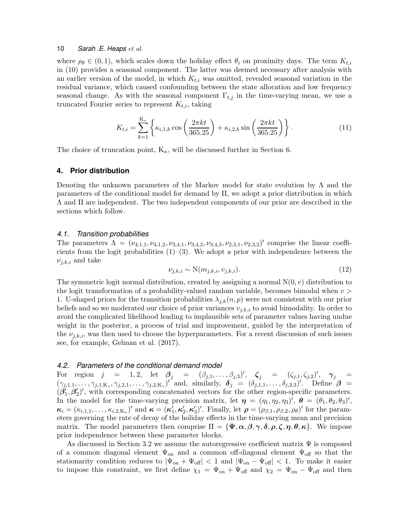where  $\rho_{\theta} \in (0, 1)$ , which scales down the holiday effect  $\theta_i$  on proximity days. The term  $K_{t,i}$ in (10) provides a seasonal component. The latter was deemed necessary after analysis with an earlier version of the model, in which  $K_{t,i}$  was omitted, revealed seasonal variation in the residual variance, which caused confounding between the state allocation and low frequency seasonal change. As with the seasonal component  $\Gamma_{t,j}$  in the time-varying mean, we use a truncated Fourier series to represent  $K_{t,i}$ , taking

$$
K_{t,i} = \sum_{k=1}^{K_{\kappa}} \left\{ \kappa_{i,1,k} \cos \left( \frac{2\pi kt}{365.25} \right) + \kappa_{i,2,k} \sin \left( \frac{2\pi kt}{365.25} \right) \right\}.
$$
 (11)

The choice of truncation point,  $K_{\kappa}$ , will be discussed further in Section 6.

## **4. Prior distribution**

Denoting the unknown parameters of the Markov model for state evolution by  $\Lambda$  and the parameters of the conditional model for demand by Π, we adopt a prior distribution in which Λ and Π are independent. The two independent components of our prior are described in the sections which follow.

#### *4.1. Transition probabilities*

The parameters  $\Lambda = (\nu_{4,1,1}, \nu_{4,1,2}, \nu_{3,4,1}, \nu_{3,4,2}, \nu_{3,4,3}, \nu_{2,3,1}, \nu_{2,3,2})'$  comprise the linear coefficients from the logit probabilities  $(1)-(3)$ . We adopt a prior with independence between the  $\nu_{j,k,i}$  and take

$$
\nu_{j,k,i} \sim \mathcal{N}(m_{j,k,i}, v_{j,k,i}).\tag{12}
$$

The symmetric logit normal distribution, created by assigning a normal  $N(0, v)$  distribution to the logit transformation of a probability-valued random variable, becomes bimodal when  $v >$ 1. U-shaped priors for the transition probabilities  $\lambda_{j,k}(n, p)$  were not consistent with our prior beliefs and so we moderated our choice of prior variances  $v_{j,k,i}$  to avoid bimodality. In order to avoid the complicated likelihood leading to implausible sets of parameter values having undue weight in the posterior, a process of trial and improvement, guided by the interpretation of the  $\nu_{j,k,i}$ , was then used to choose the hyperparameters. For a recent discussion of such issues see, for example, Gelman et al. (2017).

#### *4.2. Parameters of the conditional demand model*

For region  $j = 1, 2$ , let  $\beta_j = (\beta_{j,1}, \ldots, \beta_{j,3})'$ ,  $\zeta_j = (\zeta_{j,1}, \zeta_{j,2})'$ ,  $\gamma_j =$  $(\gamma_{j,1,1},\ldots,\gamma_{j,1,K_{\gamma}},\gamma_{j,2,1},\ldots,\gamma_{j,2,K_{\gamma}})'$  and, similarly,  $\delta_j = (\delta_{j,1,1},\ldots,\delta_{j,2,3})'$ . Define  $\beta =$  $\stackrel{\cdot}{(\beta^{\prime}_{1})}$  $\vec{\theta}'_1, \vec{\theta}'_2$  $\chi_2'$ )', with corresponding concatenated vectors for the other region-specific parameters. In the model for the time-varying precision matrix, let  $\eta = (\eta_1, \eta_2, \eta_3)'$ ,  $\theta = (\theta_1, \theta_2, \theta_3)'$ ,  $\boldsymbol{\kappa}_i = (\kappa_{i,1,1}, \ldots, \kappa_{i,2,K_\kappa})'$  and  $\boldsymbol{\kappa} = (\boldsymbol{\kappa}_1'$  $\vec{i}_1, \boldsymbol{\kappa}'_2$  $\mathbf{z}_2^{\prime},\boldsymbol{\kappa}_3^{\prime}$ <sup>2</sup>/<sub>3</sub>)<sup>'</sup>. Finally, let  $\rho = (\rho_{\beta,1}, \rho_{\beta,2}, \rho_{\theta})'$  for the parameters governing the rate of decay of the holiday effects in the time-varying mean and precision matrix. The model parameters then comprise  $\Pi = {\Psi, \alpha, \beta, \gamma, \delta, \rho, \zeta, \eta, \theta, \kappa}$ . We impose prior independence between these parameter blocks.

As discussed in Section 3.2 we assume the autoregressive coefficient matrix  $\Psi$  is composed of a common diagonal element  $\Psi_{on}$  and a common off-diagonal element  $\Psi_{off}$  so that the stationarity condition reduces to  $|\Psi_{on} + \Psi_{off}| < 1$  and  $|\Psi_{on} - \Psi_{off}| < 1$ . To make it easier to impose this constraint, we first define  $\chi_1 = \Psi_{\text{on}} + \Psi_{\text{off}}$  and  $\chi_2 = \Psi_{\text{on}} - \Psi_{\text{off}}$  and then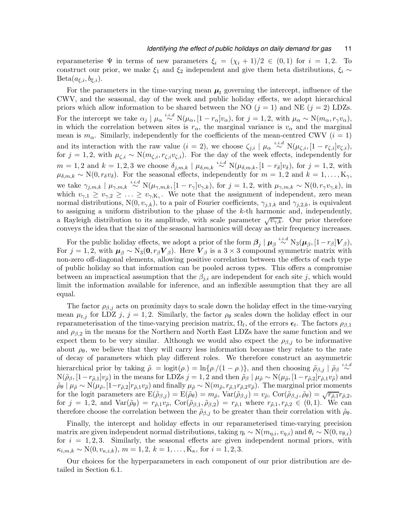reparameterise  $\Psi$  in terms of new parameters  $\xi_i = (\chi_i + 1)/2 \in (0,1)$  for  $i = 1,2$ . To construct our prior, we make  $\xi_1$  and  $\xi_2$  independent and give them beta distributions,  $\xi_i \sim$  $Beta(a_{\xi,i}, b_{\xi,i}).$ 

For the parameters in the time-varying mean  $\mu_t$  governing the intercept, influence of the CWV, and the seasonal, day of the week and public holiday effects, we adopt hierarchical priors which allow information to be shared between the NO  $(j = 1)$  and NE  $(j = 2)$  LDZs. For the intercept we take  $\alpha_j \mid \mu_\alpha \stackrel{i.i.d}{\sim} N(\mu_\alpha, [1-r_\alpha]v_\alpha)$ , for  $j = 1, 2$ , with  $\mu_\alpha \sim N(m_\alpha, r_\gamma v_\alpha)$ , in which the correlation between sites is  $r_{\alpha}$ , the marginal variance is  $v_{\alpha}$  and the marginal mean is  $m_{\alpha}$ . Similarly, independently for the coefficients of the mean-centred CWV ( $i = 1$ ) and its interaction with the raw value  $(i = 2)$ , we choose  $\zeta_{j,i} \mid \mu_\alpha \stackrel{i.i.d}{\sim} N(\mu_{\zeta,i}, [1-r_{\zeta,i}]v_{\zeta,i}),$ for  $j = 1, 2$ , with  $\mu_{\zeta,i} \sim N(m_{\zeta,i}, r_{\zeta,i}v_{\zeta,i})$ . For the day of the week effects, independently for  $m = 1, 2$  and  $k = 1, 2, 3$  we choose  $\delta_{j,m,k} \mid \mu_{\delta,m,k} \stackrel{i.i.d}{\sim} N(\mu_{\delta,m,k}, [1-r_{\delta}]v_{\delta}),$  for  $j = 1, 2$ , with  $\mu_{\delta,m,k} \sim N(0, r_{\delta}v_{\delta})$ . For the seasonal effects, independently for  $m = 1, 2$  and  $k = 1, ..., K_{\gamma}$ , we take  $\gamma_{j,m,k} \mid \mu_{\gamma,m,k} \stackrel{i.i.d}{\sim} \text{N}(\mu_{\gamma,m,k}, [1-r_{\gamma}]v_{\gamma,k})$ , for  $j=1,2$ , with  $\mu_{\gamma,m,k} \sim \text{N}(0, r_{\gamma}v_{\gamma,k})$ , in which  $v_{\gamma,1} \ge v_{\gamma,2} \ge ... \ge v_{\gamma,K_{\gamma}}$ . We note that the assignment of independent, zero mean normal distributions, N(0,  $v_{\gamma,k}$ ), to a pair of Fourier coefficients,  $\gamma_{j,1,k}$  and  $\gamma_{j,2,k}$ , is equivalent to assigning a uniform distribution to the phase of the k-th harmonic and, independently, a Rayleigh distribution to its amplitude, with scale parameter  $\sqrt{v_{\gamma,k}}$ . Our prior therefore conveys the idea that the size of the seasonal harmonics will decay as their frequency increases.

For the public holiday effects, we adopt a prior of the form  $\beta_j \mid \mu_\beta \stackrel{i.i.d}{\sim} N_3(\mu_\beta, [1-r_\beta]V_\beta)$ , For  $j = 1, 2$ , with  $\mu_{\beta} \sim N_3(0, r_{\beta} V_{\beta})$ . Here  $V_{\beta}$  is a 3 × 3 compound symmetric matrix with non-zero off-diagonal elements, allowing positive correlation between the effects of each type of public holiday so that information can be pooled across types. This offers a compromise between an impractical assumption that the  $\beta_{i,i}$  are independent for each site j, which would limit the information available for inference, and an inflexible assumption that they are all equal.

The factor  $\rho_{\beta,i}$  acts on proximity days to scale down the holiday effect in the time-varying mean  $\mu_{t,j}$  for LDZ j,  $j = 1, 2$ . Similarly, the factor  $\rho_{\theta}$  scales down the holiday effect in our reparameterisation of the time-varying precision matrix,  $\Omega_t$ , of the errors  $\epsilon_t$ . The factors  $\rho_{\beta,1}$ and  $\rho_{\beta,2}$  in the means for the Northern and North East LDZs have the same function and we expect them to be very similar. Although we would also expect the  $\rho_{\beta,i}$  to be informative about  $\rho_{\theta}$ , we believe that they will carry less information because they relate to the rate of decay of parameters which play different roles. We therefore construct an asymmetric hierarchical prior by taking  $\tilde{\rho} = \logit(\rho) = \ln{\rho/(1-\rho)}$ , and then choosing  $\tilde{\rho}_{\beta,j} | \tilde{\rho}_{\beta}^{i.i.d}$ ∼  $N(\tilde{\rho}_{\beta}, [1-r_{\tilde{\rho},1}]v_{\tilde{\rho}})$  in the means for LDZs  $j = 1, 2$  and then  $\tilde{\rho}_{\beta} | \mu_{\tilde{\rho}} \sim N(\mu_{\tilde{\rho}}, [1-r_{\tilde{\rho},2}]r_{\tilde{\rho},1}v_{\tilde{\rho}})$  and  $\tilde{\rho}_{\theta} \mid \mu_{\tilde{\rho}} \sim N(\mu_{\tilde{\rho}}, [1-r_{\tilde{\rho},2}]r_{\tilde{\rho},1}v_{\tilde{\rho}})$  and finally  $\mu_{\tilde{\rho}} \sim N(m_{\tilde{\rho}}, r_{\tilde{\rho},1}r_{\tilde{\rho},2}v_{\tilde{\rho}})$ . The marginal prior moments for the logit parameters are  $E(\tilde{\rho}_{\beta,j}) = E(\tilde{\rho}_{\theta}) = m_{\tilde{\rho}}, \text{Var}(\tilde{\rho}_{\beta,j}) = v_{\tilde{\rho}}, \text{Cor}(\tilde{\rho}_{\beta,j}, \tilde{\rho}_{\theta}) = \sqrt{r_{\tilde{\rho},1}r_{\tilde{\rho},2}},$ for  $j = 1, 2$ , and  $\text{Var}(\tilde{\rho}_{\theta}) = r_{\tilde{\rho},1}v_{\tilde{\rho}}, \ \text{Cor}(\tilde{\rho}_{\beta,1}, \tilde{\rho}_{\beta,2}) = r_{\tilde{\rho},1}$  where  $r_{\tilde{\rho},1}, r_{\tilde{\rho},2} \in (0,1)$ . We can therefore choose the correlation between the  $\tilde{\rho}_{\beta,j}$  to be greater than their correlation with  $\tilde{\rho}_{\theta}$ .

Finally, the intercept and holiday effects in our reparameterised time-varying precision matrix are given independent normal distributions, taking  $\eta_i \sim N(m_{\eta,i}, v_{\eta,i})$  and  $\theta_i \sim N(0, v_{\theta,i})$ for  $i = 1, 2, 3$ . Similarly, the seasonal effects are given independent normal priors, with  $\kappa_{i,m,k} \sim N(0, v_{\kappa,i,k}), m = 1, 2, k = 1, \ldots, K_{\kappa},$  for  $i = 1, 2, 3$ .

Our choices for the hyperparameters in each component of our prior distribution are detailed in Section 6.1.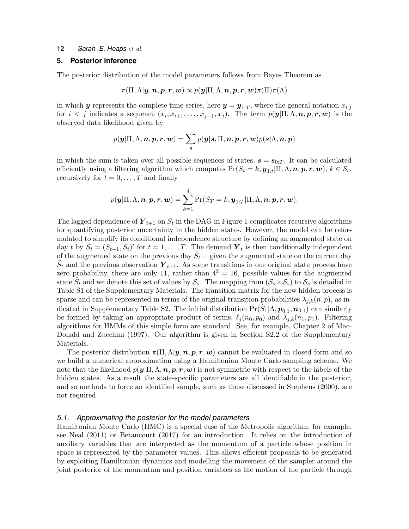#### **5. Posterior inference**

The posterior distribution of the model parameters follows from Bayes Theorem as

$$
\pi(\Pi, \Lambda | \boldsymbol{y}, \boldsymbol{n}, \boldsymbol{p}, \boldsymbol{r}, \boldsymbol{w}) \propto p(\boldsymbol{y} | \Pi, \Lambda, \boldsymbol{n}, \boldsymbol{p}, \boldsymbol{r}, \boldsymbol{w}) \pi(\Pi) \pi(\Lambda)
$$

in which  $y$  represents the complete time series, here  $y = y_{1:T}$ , where the general notation  $x_{i:j}$ for  $i < j$  indicates a sequence  $(x_i, x_{i+1}, \ldots, x_{j-1}, x_j)$ . The term  $p(\mathbf{y} | \Pi, \Lambda, \mathbf{n}, \mathbf{p}, \mathbf{r}, \mathbf{w})$  is the observed data likelihood given by

$$
p(\mathbf{y}|\Pi,\Lambda,\mathbf{n},\mathbf{p},\mathbf{r},\mathbf{w})=\sum_{\mathbf{s}}p(\mathbf{y}|\mathbf{s},\Pi,\mathbf{n},\mathbf{p},\mathbf{r},\mathbf{w})p(\mathbf{s}|\Lambda,\mathbf{n},\mathbf{p})
$$

in which the sum is taken over all possible sequences of states,  $s = s_{0:T}$ . It can be calculated efficiently using a filtering algorithm which computes  $Pr(S_t = k, y_{1:t} | \Pi, \Lambda, n, p, r, w), k \in S_s$ , recursively for  $t = 0, \ldots, T$  and finally

$$
p(\boldsymbol{y}|\Pi,\Lambda,\boldsymbol{n},\boldsymbol{p},\boldsymbol{r},\boldsymbol{w})=\sum_{k=1}^4\Pr(S_T=k,\boldsymbol{y}_{1:T}|\Pi,\Lambda,\boldsymbol{n},\boldsymbol{p},\boldsymbol{r},\boldsymbol{w}).
$$

The lagged dependence of  $\boldsymbol{Y}_{t+1}$  on  $S_t$  in the DAG in Figure 1 complicates recursive algorithms for quantifying posterior uncertainty in the hidden states. However, the model can be reformulated to simplify its conditional independence structure by defining an augmented state on day t by  $\tilde{S}_t = (S_{t-1}, S_t)'$  for  $t = 1, \ldots, T$ . The demand  $\boldsymbol{Y}_t$  is then conditionally independent of the augmented state on the previous day  $\tilde{S}_{t-1}$  given the augmented state on the current day  $\tilde{S}_t$  and the previous observation  $\boldsymbol{Y}_{t-1}$ . As some transitions in our original state process have zero probability, there are only 11, rather than  $4^2 = 16$ , possible values for the augmented state  $\tilde{S}_t$  and we denote this set of values by  $S_{\tilde{s}}$ . The mapping from  $(S_s \times S_s)$  to  $S_{\tilde{s}}$  is detailed in Table S1 of the Supplementary Materials. The transition matrix for the new hidden process is sparse and can be represented in terms of the original transition probabilities  $\lambda_{j,k}(n, p)$ , as indicated in Supplementary Table S2. The initial distribution  $Pr(\tilde{S}_1 | \Lambda, p_{0:1}, n_{0:1})$  can similarly be formed by taking an appropriate product of terms,  $\ell_j(n_0, p_0)$  and  $\lambda_{j,k}(n_1, p_1)$ . Filtering algorithms for HMMs of this simple form are standard. See, for example, Chapter 2 of Mac-Donald and Zucchini (1997). Our algorithm is given in Section S2.2 of the Supplementary Materials.

The posterior distribution  $\pi(\Pi, \Lambda | y, n, p, r, w)$  cannot be evaluated in closed form and so we build a numerical approximation using a Hamiltonian Monte Carlo sampling scheme. We note that the likelihood  $p(\mathbf{y}|\Pi,\Lambda,\mathbf{n},\mathbf{p},\mathbf{r},\mathbf{w})$  is not symmetric with respect to the labels of the hidden states. As a result the state-specific parameters are all identifiable in the posterior, and so methods to force an identified sample, such as those discussed in Stephens (2000), are not required.

#### *5.1. Approximating the posterior for the model parameters*

Hamiltonian Monte Carlo (HMC) is a special case of the Metropolis algorithm; for example, see Neal (2011) or Betancourt (2017) for an introduction. It relies on the introduction of auxiliary variables that are interpreted as the momentum of a particle whose position in space is represented by the parameter values. This allows efficient proposals to be generated by exploiting Hamiltonian dynamics and modelling the movement of the sampler around the joint posterior of the momentum and position variables as the motion of the particle through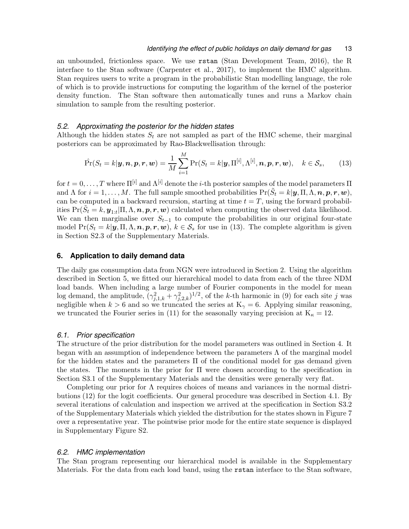an unbounded, frictionless space. We use rstan (Stan Development Team, 2016), the R interface to the Stan software (Carpenter et al., 2017), to implement the HMC algorithm. Stan requires users to write a program in the probabilistic Stan modelling language, the role of which is to provide instructions for computing the logarithm of the kernel of the posterior density function. The Stan software then automatically tunes and runs a Markov chain simulation to sample from the resulting posterior.

#### *5.2. Approximating the posterior for the hidden states*

Although the hidden states  $S_t$  are not sampled as part of the HMC scheme, their marginal posteriors can be approximated by Rao-Blackwellisation through:

$$
\hat{\Pr}(S_t = k | \mathbf{y}, \mathbf{n}, \mathbf{p}, \mathbf{r}, \mathbf{w}) = \frac{1}{M} \sum_{i=1}^{M} \Pr(S_t = k | \mathbf{y}, \Pi^{[i]}, \Lambda^{[i]}, \mathbf{n}, \mathbf{p}, \mathbf{r}, \mathbf{w}), \quad k \in S_s, \tag{13}
$$

for  $t = 0, \ldots, T$  where  $\Pi^{[i]}$  and  $\Lambda^{[i]}$  denote the *i*-th posterior samples of the model parameters  $\Pi$ and  $\Lambda$  for  $i = 1, ..., M$ . The full sample smoothed probabilities  $Pr(\tilde{S}_t = k | \boldsymbol{y}, \Pi, \Lambda, \boldsymbol{n}, \boldsymbol{p}, \boldsymbol{r}, \boldsymbol{w}),$ can be computed in a backward recursion, starting at time  $t = T$ , using the forward probabilities  $Pr(\tilde{S}_t = k, \boldsymbol{y}_{1:t} | \Pi, \Lambda, \boldsymbol{n}, \boldsymbol{p}, \boldsymbol{r}, \boldsymbol{w})$  calculated when computing the observed data likelihood. We can then marginalise over  $S_{t-1}$  to compute the probabilities in our original four-state model  $Pr(S_t = k | \mathbf{y}, \Pi, \Lambda, \mathbf{n}, \mathbf{p}, \mathbf{r}, \mathbf{w}), k \in S_s$  for use in (13). The complete algorithm is given in Section S2.3 of the Supplementary Materials.

## **6. Application to daily demand data**

The daily gas consumption data from NGN were introduced in Section 2. Using the algorithm described in Section 5, we fitted our hierarchical model to data from each of the three NDM load bands. When including a large number of Fourier components in the model for mean log demand, the amplitude,  $(\gamma_{j,1,k}^2 + \gamma_{j,2,k}^2)^{1/2}$ , of the k-th harmonic in (9) for each site j was negligible when  $k > 6$  and so we truncated the series at  $K_{\gamma} = 6$ . Applying similar reasoning, we truncated the Fourier series in (11) for the seasonally varying precision at  $K_{\kappa} = 12$ .

#### *6.1. Prior specification*

The structure of the prior distribution for the model parameters was outlined in Section 4. It began with an assumption of independence between the parameters  $\Lambda$  of the marginal model for the hidden states and the parameters Π of the conditional model for gas demand given the states. The moments in the prior for  $\Pi$  were chosen according to the specification in Section S3.1 of the Supplementary Materials and the densities were generally very flat.

Completing our prior for  $\Lambda$  requires choices of means and variances in the normal distributions (12) for the logit coefficients. Our general procedure was described in Section 4.1. By several iterations of calculation and inspection we arrived at the specification in Section S3.2 of the Supplementary Materials which yielded the distribution for the states shown in Figure 7 over a representative year. The pointwise prior mode for the entire state sequence is displayed in Supplementary Figure S2.

#### *6.2. HMC implementation*

The Stan program representing our hierarchical model is available in the Supplementary Materials. For the data from each load band, using the rstan interface to the Stan software,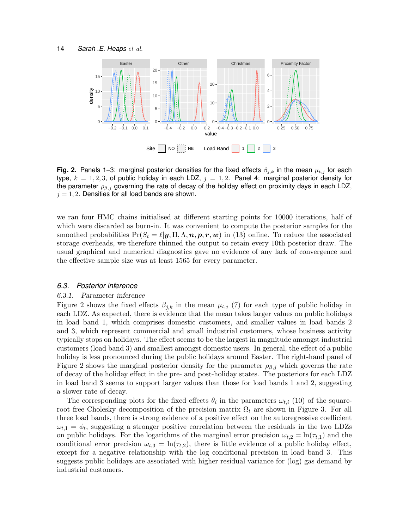

**Fig. 2.** Panels 1–3: marginal posterior densities for the fixed effects  $\beta_{i,k}$  in the mean  $\mu_{t,j}$  for each type,  $k = 1, 2, 3$ , of public holiday in each LDZ,  $j = 1, 2$ . Panel 4: marginal posterior density for the parameter  $\rho_{\beta,j}$  governing the rate of decay of the holiday effect on proximity days in each LDZ,  $j = 1, 2$ . Densities for all load bands are shown.

we ran four HMC chains initialised at different starting points for 10000 iterations, half of which were discarded as burn-in. It was convenient to compute the posterior samples for the smoothed probabilities  $Pr(S_t = \ell | y, \Pi, \Lambda, n, p, r, w)$  in (13) online. To reduce the associated storage overheads, we therefore thinned the output to retain every 10th posterior draw. The usual graphical and numerical diagnostics gave no evidence of any lack of convergence and the effective sample size was at least 1565 for every parameter.

#### *6.3. Posterior inference*

#### 6.3.1. Parameter inference

Figure 2 shows the fixed effects  $\beta_{i,k}$  in the mean  $\mu_{t,j}$  (7) for each type of public holiday in each LDZ. As expected, there is evidence that the mean takes larger values on public holidays in load band 1, which comprises domestic customers, and smaller values in load bands 2 and 3, which represent commercial and small industrial customers, whose business activity typically stops on holidays. The effect seems to be the largest in magnitude amongst industrial customers (load band 3) and smallest amongst domestic users. In general, the effect of a public holiday is less pronounced during the public holidays around Easter. The right-hand panel of Figure 2 shows the marginal posterior density for the parameter  $\rho_{\beta,j}$  which governs the rate of decay of the holiday effect in the pre- and post-holiday states. The posteriors for each LDZ in load band 3 seems to support larger values than those for load bands 1 and 2, suggesting a slower rate of decay.

The corresponding plots for the fixed effects  $\theta_i$  in the parameters  $\omega_{t,i}$  (10) of the squareroot free Cholesky decomposition of the precision matrix  $\Omega_t$  are shown in Figure 3. For all three load bands, there is strong evidence of a positive effect on the autoregressive coefficient  $\omega_{t,1} = \phi_t$ , suggesting a stronger positive correlation between the residuals in the two LDZs on public holidays. For the logarithms of the marginal error precision  $\omega_{t,2} = \ln(\tau_{t,1})$  and the conditional error precision  $\omega_{t,3} = \ln(\tau_{t,2})$ , there is little evidence of a public holiday effect, except for a negative relationship with the log conditional precision in load band 3. This suggests public holidays are associated with higher residual variance for (log) gas demand by industrial customers.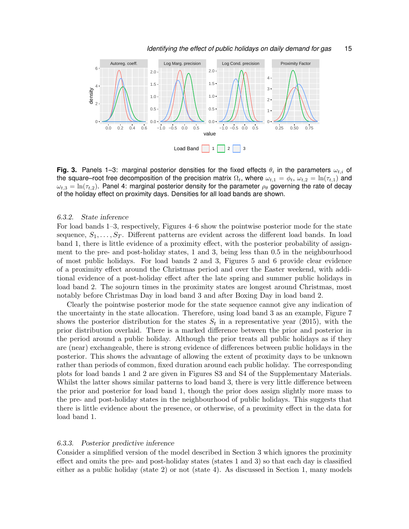

Fig. 3. Panels 1–3: marginal posterior densities for the fixed effects  $\theta_i$  in the parameters  $\omega_{t,i}$  of the square–root free decomposition of the precision matrix  $\Omega_t$ , where  $\omega_{t,1} = \phi_t$ ,  $\omega_{t,2} = \ln(\tau_{t,1})$  and  $\omega_{t,3} = \ln(\tau_{t,2})$ . Panel 4: marginal posterior density for the parameter  $\rho_\theta$  governing the rate of decay of the holiday effect on proximity days. Densities for all load bands are shown.

#### 6.3.2. State inference

For load bands 1–3, respectively, Figures 4–6 show the pointwise posterior mode for the state sequence,  $S_1, \ldots, S_T$ . Different patterns are evident across the different load bands. In load band 1, there is little evidence of a proximity effect, with the posterior probability of assignment to the pre- and post-holiday states, 1 and 3, being less than 0.5 in the neighbourhood of most public holidays. For load bands 2 and 3, Figures 5 and 6 provide clear evidence of a proximity effect around the Christmas period and over the Easter weekend, with additional evidence of a post-holiday effect after the late spring and summer public holidays in load band 2. The sojourn times in the proximity states are longest around Christmas, most notably before Christmas Day in load band 3 and after Boxing Day in load band 2.

Clearly the pointwise posterior mode for the state sequence cannot give any indication of the uncertainty in the state allocation. Therefore, using load band 3 as an example, Figure 7 shows the posterior distribution for the states  $S_t$  in a representative year (2015), with the prior distribution overlaid. There is a marked difference between the prior and posterior in the period around a public holiday. Although the prior treats all public holidays as if they are (near) exchangeable, there is strong evidence of differences between public holidays in the posterior. This shows the advantage of allowing the extent of proximity days to be unknown rather than periods of common, fixed duration around each public holiday. The corresponding plots for load bands 1 and 2 are given in Figures S3 and S4 of the Supplementary Materials. Whilst the latter shows similar patterns to load band 3, there is very little difference between the prior and posterior for load band 1, though the prior does assign slightly more mass to the pre- and post-holiday states in the neighbourhood of public holidays. This suggests that there is little evidence about the presence, or otherwise, of a proximity effect in the data for load band 1.

#### 6.3.3. Posterior predictive inference

Consider a simplified version of the model described in Section 3 which ignores the proximity effect and omits the pre- and post-holiday states (states 1 and 3) so that each day is classified either as a public holiday (state 2) or not (state 4). As discussed in Section 1, many models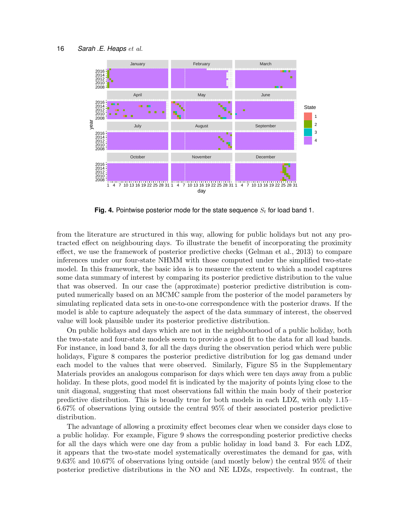

**Fig. 4.** Pointwise posterior mode for the state sequence  $S_t$  for load band 1.

from the literature are structured in this way, allowing for public holidays but not any protracted effect on neighbouring days. To illustrate the benefit of incorporating the proximity effect, we use the framework of posterior predictive checks (Gelman et al., 2013) to compare inferences under our four-state NHMM with those computed under the simplified two-state model. In this framework, the basic idea is to measure the extent to which a model captures some data summary of interest by comparing its posterior predictive distribution to the value that was observed. In our case the (approximate) posterior predictive distribution is computed numerically based on an MCMC sample from the posterior of the model parameters by simulating replicated data sets in one-to-one correspondence with the posterior draws. If the model is able to capture adequately the aspect of the data summary of interest, the observed value will look plausible under its posterior predictive distribution.

On public holidays and days which are not in the neighbourhood of a public holiday, both the two-state and four-state models seem to provide a good fit to the data for all load bands. For instance, in load band 3, for all the days during the observation period which were public holidays, Figure 8 compares the posterior predictive distribution for log gas demand under each model to the values that were observed. Similarly, Figure S5 in the Supplementary Materials provides an analogous comparison for days which were ten days away from a public holiday. In these plots, good model fit is indicated by the majority of points lying close to the unit diagonal, suggesting that most observations fall within the main body of their posterior predictive distribution. This is broadly true for both models in each LDZ, with only 1.15– 6.67% of observations lying outside the central 95% of their associated posterior predictive distribution.

The advantage of allowing a proximity effect becomes clear when we consider days close to a public holiday. For example, Figure 9 shows the corresponding posterior predictive checks for all the days which were one day from a public holiday in load band 3. For each LDZ, it appears that the two-state model systematically overestimates the demand for gas, with 9.63% and 10.67% of observations lying outside (and mostly below) the central 95% of their posterior predictive distributions in the NO and NE LDZs, respectively. In contrast, the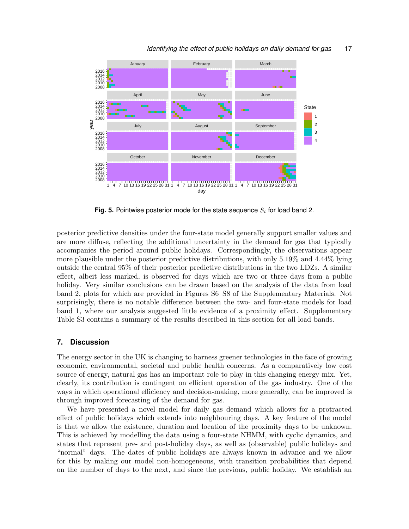

**Fig. 5.** Pointwise posterior mode for the state sequence  $S_t$  for load band 2.

posterior predictive densities under the four-state model generally support smaller values and are more diffuse, reflecting the additional uncertainty in the demand for gas that typically accompanies the period around public holidays. Correspondingly, the observations appear more plausible under the posterior predictive distributions, with only 5.19% and 4.44% lying outside the central 95% of their posterior predictive distributions in the two LDZs. A similar effect, albeit less marked, is observed for days which are two or three days from a public holiday. Very similar conclusions can be drawn based on the analysis of the data from load band 2, plots for which are provided in Figures S6–S8 of the Supplementary Materials. Not surprisingly, there is no notable difference between the two- and four-state models for load band 1, where our analysis suggested little evidence of a proximity effect. Supplementary Table S3 contains a summary of the results described in this section for all load bands.

## **7. Discussion**

The energy sector in the UK is changing to harness greener technologies in the face of growing economic, environmental, societal and public health concerns. As a comparatively low cost source of energy, natural gas has an important role to play in this changing energy mix. Yet, clearly, its contribution is contingent on efficient operation of the gas industry. One of the ways in which operational efficiency and decision-making, more generally, can be improved is through improved forecasting of the demand for gas.

We have presented a novel model for daily gas demand which allows for a protracted effect of public holidays which extends into neighbouring days. A key feature of the model is that we allow the existence, duration and location of the proximity days to be unknown. This is achieved by modelling the data using a four-state NHMM, with cyclic dynamics, and states that represent pre- and post-holiday days, as well as (observable) public holidays and "normal" days. The dates of public holidays are always known in advance and we allow for this by making our model non-homogeneous, with transition probabilities that depend on the number of days to the next, and since the previous, public holiday. We establish an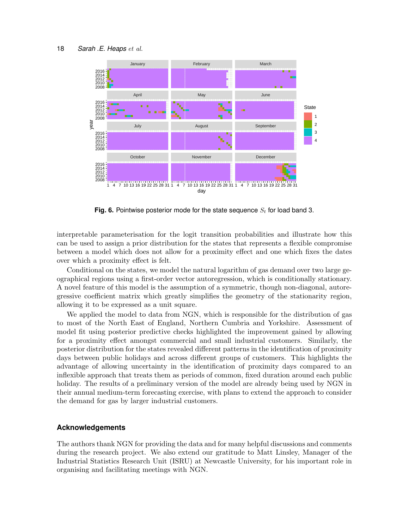

**Fig. 6.** Pointwise posterior mode for the state sequence  $S_t$  for load band 3.

interpretable parameterisation for the logit transition probabilities and illustrate how this can be used to assign a prior distribution for the states that represents a flexible compromise between a model which does not allow for a proximity effect and one which fixes the dates over which a proximity effect is felt.

Conditional on the states, we model the natural logarithm of gas demand over two large geographical regions using a first-order vector autoregression, which is conditionally stationary. A novel feature of this model is the assumption of a symmetric, though non-diagonal, autoregressive coefficient matrix which greatly simplifies the geometry of the stationarity region, allowing it to be expressed as a unit square.

We applied the model to data from NGN, which is responsible for the distribution of gas to most of the North East of England, Northern Cumbria and Yorkshire. Assessment of model fit using posterior predictive checks highlighted the improvement gained by allowing for a proximity effect amongst commercial and small industrial customers. Similarly, the posterior distribution for the states revealed different patterns in the identification of proximity days between public holidays and across different groups of customers. This highlights the advantage of allowing uncertainty in the identification of proximity days compared to an inflexible approach that treats them as periods of common, fixed duration around each public holiday. The results of a preliminary version of the model are already being used by NGN in their annual medium-term forecasting exercise, with plans to extend the approach to consider the demand for gas by larger industrial customers.

#### **Acknowledgements**

The authors thank NGN for providing the data and for many helpful discussions and comments during the research project. We also extend our gratitude to Matt Linsley, Manager of the Industrial Statistics Research Unit (ISRU) at Newcastle University, for his important role in organising and facilitating meetings with NGN.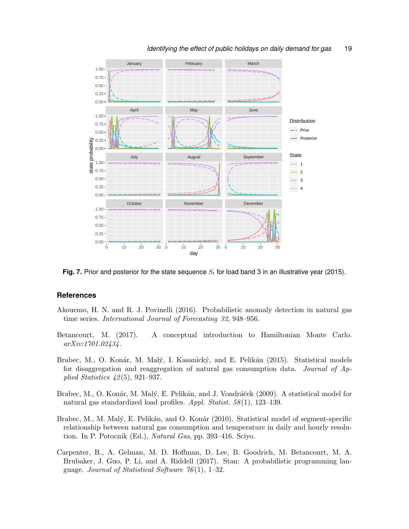



**Fig. 7.** Prior and posterior for the state sequence  $S_t$  for load band 3 in an illustrative year (2015).

#### **References**

- Akouemo, H. N. and R. J. Povinelli (2016). Probabilistic anomaly detection in natural gas time series. International Journal of Forecasting 32, 948–956.
- Betancourt, M. (2017). A conceptual introduction to Hamiltonian Monte Carlo. arXiv:1701.02434.
- Brabec, M., O. Konár, M. Malý, I. Kasanický, and E. Pelikán (2015). Statistical models for disaggregation and reaggregation of natural gas consumption data. Journal of Applied Statistics 42(5), 921–937.
- Brabec, M., O. Konár, M. Malý, E. Pelikán, and J. Vondráček (2009). A statistical model for natural gas standardized load profiles. Appl. Statist. 58(1), 123–139.
- Brabec, M., M. Malý, E. Pelikán, and O. Konár (2010). Statistical model of segment-specific relationship between natural gas consumption and temperature in daily and hourly resolution. In P. Potocnik (Ed.), Natural Gas, pp. 393–416. Sciyo.
- Carpenter, B., A. Gelman, M. D. Hoffman, D. Lee, B. Goodrich, M. Betancourt, M. A. Brubaker, J. Guo, P. Li, and A. Riddell (2017). Stan: A probabilistic programming language. Journal of Statistical Software  $76(1)$ , 1–32.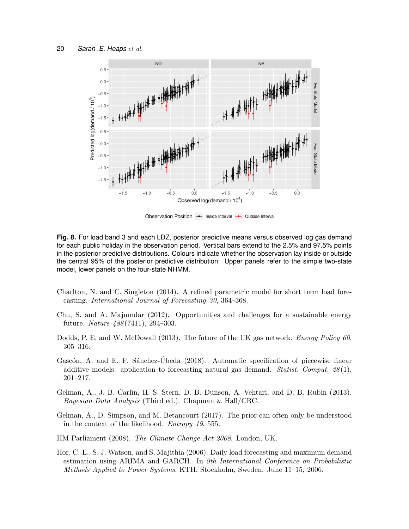

Observation Position  $\rightarrow$  Inside Interval  $\rightarrow$  Outside Interval

**Fig. 8.** For load band 3 and each LDZ, posterior predictive means versus observed log gas demand for each public holiday in the observation period. Vertical bars extend to the 2.5% and 97.5% points in the posterior predictive distributions. Colours indicate whether the observation lay inside or outside the central 95% of the posterior predictive distribution. Upper panels refer to the simple two-state model, lower panels on the four-state NHMM.

- Charlton, N. and C. Singleton (2014). A refined parametric model for short term load forecasting. International Journal of Forecasting 30, 364–368.
- Chu, S. and A. Majumdar (2012). Opportunities and challenges for a sustainable energy future. Nature 488(7411), 294–303.
- Dodds, P. E. and W. McDowall (2013). The future of the UK gas network. *Energy Policy 60*, 305–316.
- Gascón, A. and E. F. Sánchez-Úbeda (2018). Automatic specification of piecewise linear additive models: application to forecasting natural gas demand. Statist. Comput.  $28(1)$ , 201–217.
- Gelman, A., J. B. Carlin, H. S. Stern, D. B. Dunson, A. Vehtari, and D. B. Rubin (2013). Bayesian Data Analysis (Third ed.). Chapman & Hall/CRC.
- Gelman, A., D. Simpson, and M. Betancourt (2017). The prior can often only be understood in the context of the likelihood. Entropy 19, 555.
- HM Parliament (2008). The Climate Change Act 2008. London, UK.
- Hor, C.-L., S. J. Watson, and S. Majithia (2006). Daily load forecasting and maximum demand estimation using ARIMA and GARCH. In 9th International Conference on Probabilistic Methods Applied to Power Systems, KTH, Stockholm, Sweden. June 11–15, 2006.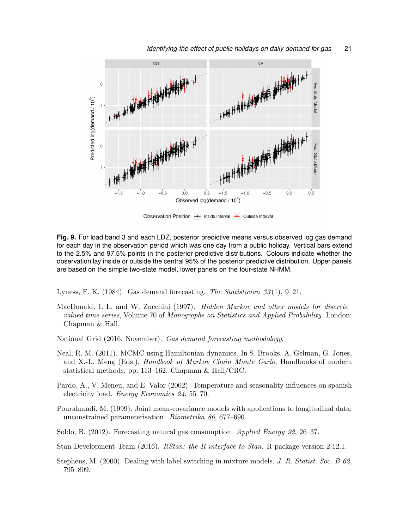

*Identifying the effect of public holidays on daily demand for gas* 21

Observation Position - Inside Interval - Outside Interval

**Fig. 9.** For load band 3 and each LDZ, posterior predictive means versus observed log gas demand for each day in the observation period which was one day from a public holiday. Vertical bars extend to the 2.5% and 97.5% points in the posterior predictive distributions. Colours indicate whether the observation lay inside or outside the central 95% of the posterior predictive distribution. Upper panels are based on the simple two-state model, lower panels on the four-state NHMM.

Lyness, F. K. (1984). Gas demand forecasting. The Statistician  $33(1)$ , 9–21.

- MacDonald, I. L. and W. Zucchini (1997). *Hidden Markov and other models for discrete* valued time series, Volume 70 of Monographs on Statistics and Applied Probability. London: Chapman & Hall.
- National Grid (2016, November). Gas demand forecasting methodology.
- Neal, R. M. (2011). MCMC using Hamiltonian dynamics. In S. Brooks, A. Gelman, G. Jones, and X.-L. Meng (Eds.), *Handbook of Markov Chain Monte Carlo*, Handbooks of modern statistical methods, pp. 113–162. Chapman & Hall/CRC.
- Pardo, A., V. Meneu, and E. Valor (2002). Temperature and seasonality influences on spanish electricity load. Energy Economics 24, 55–70.
- Pourahmadi, M. (1999). Joint mean-covariance models with applications to longitudinal data: unconstrained parameterisation. Biometrika 86, 677–690.
- Soldo, B. (2012). Forecasting natural gas consumption. Applied Energy 92, 26–37.
- Stan Development Team (2016). *RStan: the R interface to Stan.* R package version 2.12.1.
- Stephens, M. (2000). Dealing with label switching in mixture models. J. R. Statist. Soc. B 62, 795–809.